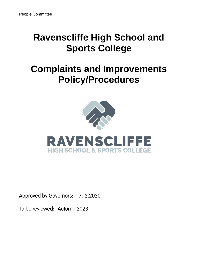# **Ravenscliffe High School and Sports College**

# **Complaints and Improvements Policy/Procedures**



**Approved by Governors:** 7.12.2020

To be reviewed: Autumn 2023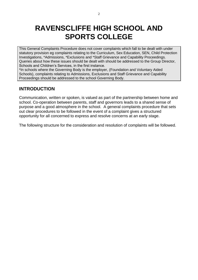### **RAVENSCLIFFE HIGH SCHOOL AND SPORTS COLLEGE**

This General Complaints Procedure does not cover complaints which fall to be dealt with under statutory provision eg complaints relating to the Curriculum, Sex Education, SEN, Child Protection Investigations, \*Admissions, \*Exclusions and \*Staff Grievance and Capability Proceedings. Queries about how these issues should be dealt with should be addressed to the Group Director, Schools and Children's Services, in the first instance.

\*In schools where the Governing Body is the employer, (Foundation and Voluntary Aided Schools), complaints relating to Admissions, Exclusions and Staff Grievance and Capability Proceedings should be addressed to the school Governing Body.

### **INTRODUCTION**

Communication, written or spoken, is valued as part of the partnership between home and school. Co-operation between parents, staff and governors leads to a shared sense of purpose and a good atmosphere in the school. A general complaints procedure that sets out clear procedures to be followed in the event of a complaint gives a structured opportunity for all concerned to express and resolve concerns at an early stage.

The following structure for the consideration and resolution of complaints will be followed.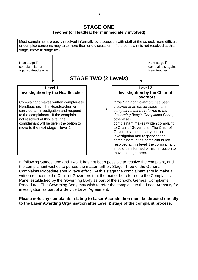### **STAGE ONE Teacher (or Headteacher if immediately involved)**



If, following Stages One and Two, it has not been possible to resolve the complaint, and the complainant wishes to pursue the matter further, Stage Three of the General Complaints Procedure should take effect.At this stage the complainant should make a written request to the Chair of Governors that the matter be referred to the Complaints Panel established by the Governing Body as part of the school's General Complaints Procedure. The Governing Body may wish to refer the complaint to the Local Authority for investigation as part of a Service Level Agreement.

**Please note any complaints relating to Laser Accreditation must be directed directly to the Laser Awarding Organisation after Level 2 stage of the complaint process.**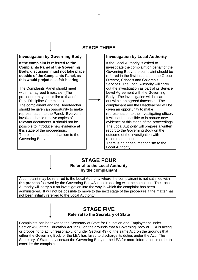### **STAGE THREE**

### **Investigation by Governing Body Investigation by Local Authority**

**If the complaint is referred to the Complaints Panel of the Governing Body, discussion must not take place outside of the Complaints Panel, as this would prejudice a fair hearing.**

The Complaints Panel should meet within an agreed timescale. (The procedure may be similar to that of the Pupil Discipline Committee). The complainant and the Headteacher should be given an opportunity to make representation to the Panel. Everyone involved should receive copies of relevant documents. It should not be possible to introduce new evidence at this stage of the proceedings. There is no appeal mechanism to the Governing Body.

If the Local Authority is asked to investigate the complaint on behalf of the Governing Body, the complaint should be referred in the first instance to the Group Director, Schools and Children's Services. The Local Authority will carry out the investigation as part of its Service Level Agreement with the Governing Body. The investigation will be carried out within an agreed timescale. The complainant and the Headteacher will be given an opportunity to make representation to the investigating officer. It will not be possible to introduce new evidence at this stage of the proceedings. The Local Authority will prepare a written report to the Governing Body on the outcome of the investigation with recommendations. There is no appeal mechanism to the Local Authority.

### **STAGE FOUR**

**Referral to the Local Authority by the complainant**

A complaint may be referred to the Local Authority where the complainant is not satisfied with **the process** followed by the Governing Body/School in dealing with the complaint. The Local Authority will carry out an investigation into the way in which the complaint has been administered. It will not be possible to move to the next stage of the procedure if the matter has not been initially referred to the Local Authority.

### **STAGE FIVE Referral to the Secretary of State**

Complaints can be taken to the Secretary of State for Education and Employment under Section 496 of the Education Act 1996, on the grounds that a Governing Body or LEA is acting or proposing to act unreasonably, or under Section 497 of the same Act, on the grounds that either the Governing Body or the LEA has failed to discharge its duties under the Act. The Secretary of State may contact the Governing Body or the LEA for more information in order to consider the complaint.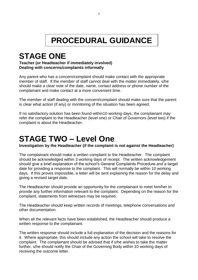# **PROCEDURAL GUIDANCE**

# **STAGE ONE**

### **Teacher (or Headteacher if immediately involved) Dealing with concerns/complaints informally**

Any parent who has a concern/complaint should make contact with the appropriate member of staff. If the member of staff cannot deal with the matter immediately, s/he should make a clear note of the date, name, contact address or phone number of the complainant and make contact at a more convenient time.

The member of staff dealing with the concern/complaint should make sure that the parent is clear what action (if any) or monitoring of the situation has been agreed.

If no satisfactory solution has been found within10 working days, the complainant may refer the complaint to the Headteacher (level one) or Chair of Governors (level two) if the complaint is about the Headteacher.

# **STAGE TWO – Level One**

**Investigation by the Headteacher (if the complaint is not against the Headteacher)**

The complainant should make a written complaint to the Headteacher. The complaint should be acknowledged within 3 working days of receipt. The written acknowledgement should give a brief explanation of the school's General Complaints Procedure and a target date for providing a response to the complaint. This will normally be within 10 working days. If this proves impossible, a letter will be sent explaining the reason for the delay and giving a revised target date.

The Headteacher should provide an opportunity for the complainant to meet him/her to provide any further information relevant to the complaint. Depending on the reason for the complaint, statements from witnesses may be required.

The Headteacher should keep written records of meetings, telephone conversations and other documentation.

When all the relevant facts have been established, the Headteacher should produce a written response to the complainant.

The written response should include a full explanation of the decision and the reasons for it. Where appropriate, this should include any action the school will take to resolve the complaint. The complainant should be advised that if s/he wishes to take the matter further, s/he should notify the Chair of the Governing Body within 10 working days of receiving the outcome letter.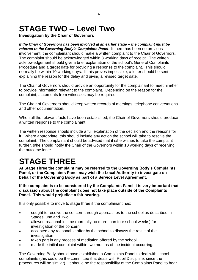# **STAGE TWO – Level Two**

**Investigation by the Chair of Governors** 

*If the Chair of Governors has been involved at an earlier stage – the complaint must be referred to the Governing Body's Complaints Panel.* If there has been no previous involvement, the complainant should make a written complaint to the Chair of Governors. The complaint should be acknowledged within 3 working days of receipt. The written acknowledgement should give a brief explanation of the school's General Complaints Procedure and a target date for providing a response to the complaint. This should normally be within 10 working days. If this proves impossible, a letter should be sent explaining the reason for the delay and giving a revised target date.

The Chair of Governors should provide an opportunity for the complainant to meet him/her to provide information relevant to the complaint. Depending on the reason for the complaint, statements from witnesses may be required.

The Chair of Governors should keep written records of meetings, telephone conversations and other documentation.

When all the relevant facts have been established, the Chair of Governors should produce a written response to the complainant.

The written response should include a full explanation of the decision and the reasons for it. Where appropriate, this should include any action the school will take to resolve the complaint. The complainant should be advised that if s/he wishes to take the complaint further, s/he should notify the Chair of the Governors within 10 working days of receiving the outcome letter.

# **STAGE THREE**

**At Stage Three the complaint may be referred to the Governing Body's Complaints Panel, or the Complaints Panel may wish the Local Authority to investigate on behalf of the Governing Body as part of a Service Level Agreement.**

**If the complaint is to be considered by the Complaints Panel it is very important that discussion about the complaint does not take place outside of the Complaints Panel. This would prejudice a fair hearing.** 

It is only possible to move to stage three if the complainant has:

- sought to resolve the concern through approaches to the school as described in Stages One and Two
- allowed reasonable time (normally no more than four school weeks) for investigation of the concern
- accepted any reasonable offer by the school to discuss the result of the investigation
- taken part in any process of mediation offered by the school
- made the initial complaint within two months of the incident occurring.

The Governing Body should have established a Complaints Panel to deal with school complaints (this could be the committee that deals with Pupil Discipline, since the procedures will be similar). It should be the responsibility of the Complaints Panel to hear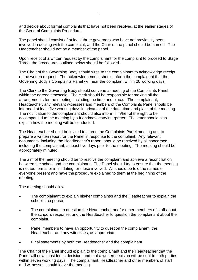and decide about formal complaints that have not been resolved at the earlier stages of the General Complaints Procedure.

The panel should consist of at least three governors who have not previously been involved in dealing with the complaint, and the Chair of the panel should be named. The Headteacher should not be a member of the panel.

Upon receipt of a written request by the complainant for the complaint to proceed to Stage Three, the procedures outlined below should be followed.

The Chair of the Governing Body should write to the complainant to acknowledge receipt of the written request. The acknowledgement should inform the complainant that the Governing Body's Complaints Panel will hear the complaint within 20 working days.

The Clerk to the Governing Body should convene a meeting of the Complaints Panel within the agreed timescale. The clerk should be responsible for making all the arrangements for the meeting, including the time and place. The complainant, Headteacher, any relevant witnesses and members of the Complaints Panel should be informed at least five working days in advance of the date, time and place of the meeting. The notification to the complainant should also inform him/her of the right to be accompanied to the meeting by a friend/advocate/interpreter. The letter should also explain how the meeting will be conducted.

The Headteacher should be invited to attend the Complaints Panel meeting and to prepare a written report for the Panel in response to the complaint. Any relevant documents, including the Headteacher's report, should be received by all concerned, including the complainant, at least five days prior to the meeting. The meeting should be appropriately minuted.

The aim of the meeting should be to resolve the complaint and achieve a reconciliation between the school and the complainant. The Panel should try to ensure that the meeting is not too formal or intimidating for those involved. All should be told the names of everyone present and have the procedure explained to them at the beginning of the meeting.

The meeting should allow

- The complainant to explain his/her complaint/s and the Headteacher to explain the school's response.
- The complainant to question the Headteacher and/or other members of staff about the school's response, and the Headteacher to question the complainant about the complaint.
- Panel members to have an opportunity to question the complainant, the Headteacher and any witnesses, as appropriate.
- Final statements by both the Headteacher and the complainant.

The Chair of the Panel should explain to the complainant and the Headteacher that the Panel will now consider its decision, and that a written decision will be sent to both parties within seven working days. The complainant, Headteacher and other members of staff and witnesses should leave the meeting.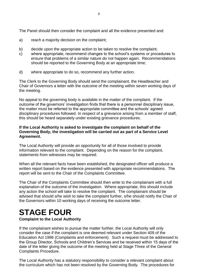The Panel should then consider the complaint and all the evidence presented and:

- a) reach a majority decision on the complaint;
- b) decide upon the appropriate action to be taken to resolve the complaint;
- c) where appropriate, recommend changes to the school's systems or procedures to ensure that problems of a similar nature do not happen again. Recommendations should be reported to the Governing Body at an appropriate time;
- d) where appropriate to do so, recommend any further action.

The Clerk to the Governing Body should send the complainant, the Headteacher and Chair of Governors a letter with the outcome of the meeting within seven working days of the meeting.

No appeal to the governing body is available in the matter of the complaint. If the outcome of the governors' investigation finds that there is a personnel disciplinary issue, the matter must be referred to the appropriate committee and the schools' agreed disciplinary procedures followed. In respect of a grievance arising from a member of staff, this should be heard separately under existing grievance procedures.

### **If the Local Authority is asked to investigate the complaint on behalf of the Governing Body, the investigation will be carried out as part of a Service Level Agreement.**

The Local Authority will provide an opportunity for all of those involved to provide information relevant to the complaint. Depending on the reason for the complaint, statements from witnesses may be required.

When all the relevant facts have been established, the designated officer will produce a written report based on the evidence presented with appropriate recommendations. The report will be sent to the Chair of the Complaints Committee.

The Chair of the Complaints Committee should then write to the complainant with a full explanation of the outcome of the investigation. Where appropriate, this should include any action the school will take to resolve the complaint. The complainant should be advised that should s/he wish to take the complaint further, s/he should notify the Chair of the Governors within 10 working days of receiving the outcome letter.

# **STAGE FOUR**

### **Complaint to the Local Authority**

If the complainant wishes to pursue the matter further, the Local Authority will only consider the case if the complaint is one deemed relevant under Section 409 of the Education Act 1996 (Complaints and enforcement). Such a request must be addressed to the Group Director, Schools and Children's Services and be received within 15 days of the date of the letter giving the outcome of the meeting held at Stage Three of the General Complaints Procedure.

The Local Authority has a statutory responsibility to consider a relevant complaint about the curriculum which has not been resolved by the Governing Body. The procedures for